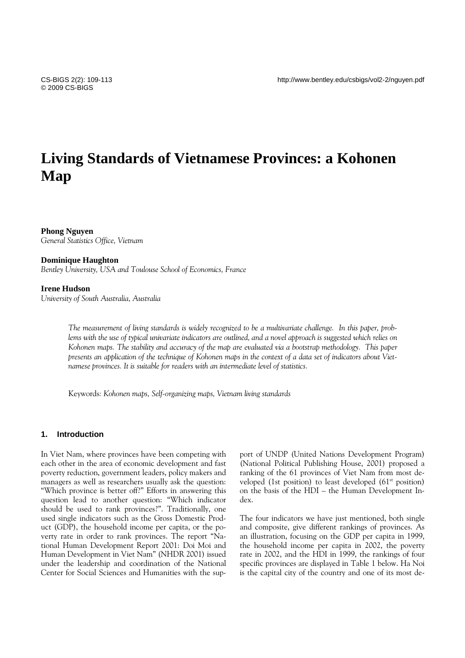# **Living Standards of Vietnamese Provinces: a Kohonen Map**

# **Phong Nguyen**

*General Statistics Office, Vietnam* 

## **Dominique Haughton**

*Bentley University, USA and Toulouse School of Economics, France* 

## **Irene Hudson**

*University of South Australia, Australia* 

*The measurement of living standards is widely recognized to be a multivariate challenge. In this paper, problems with the use of typical univariate indicators are outlined, and a novel approach is suggested which relies on Kohonen maps. The stability and accuracy of the map are evaluated via a bootstrap methodology. This paper presents an application of the technique of Kohonen maps in the context of a data set of indicators about Vietnamese provinces. It is suitable for readers with an intermediate level of statistics.* 

Keywords*: Kohonen maps, Self-organizing maps, Vietnam living standards* 

#### **1. Introduction**

In Viet Nam, where provinces have been competing with each other in the area of economic development and fast poverty reduction, government leaders, policy makers and managers as well as researchers usually ask the question: "Which province is better off?" Efforts in answering this question lead to another question: "Which indicator should be used to rank provinces?". Traditionally, one used single indicators such as the Gross Domestic Product (GDP), the household income per capita, or the poverty rate in order to rank provinces. The report "National Human Development Report 2001: Doi Moi and Human Development in Viet Nam" (NHDR 2001) issued under the leadership and coordination of the National Center for Social Sciences and Humanities with the support of UNDP (United Nations Development Program) (National Political Publishing House, 2001) proposed a ranking of the 61 provinces of Viet Nam from most developed (1st position) to least developed (61<sup>st</sup> position) on the basis of the HDI – the Human Development Index.

The four indicators we have just mentioned, both single and composite, give different rankings of provinces. As an illustration, focusing on the GDP per capita in 1999, the household income per capita in 2002, the poverty rate in 2002, and the HDI in 1999, the rankings of four specific provinces are displayed in Table 1 below. Ha Noi is the capital city of the country and one of its most de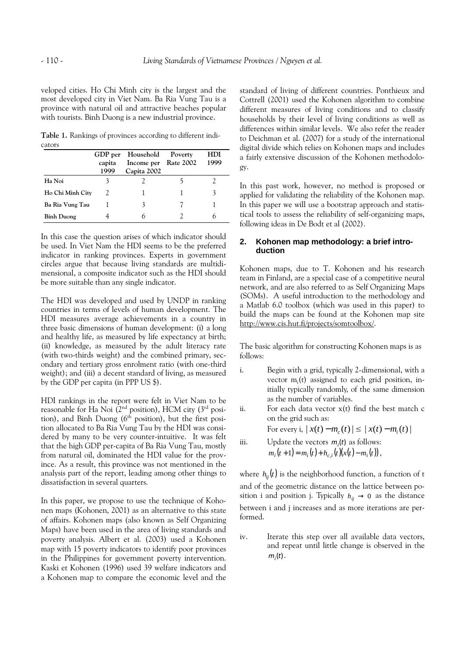veloped cities. Ho Chi Minh city is the largest and the most developed city in Viet Nam. Ba Ria Vung Tau is a province with natural oil and attractive beaches popular with tourists. Binh Duong is a new industrial province.

**Table 1.** Rankings of provinces according to different indicators

|                   | GDP per<br>capita<br>1999 | Household<br>Income per<br>Capita 2002 | Poverty<br><b>Rate 2002</b> | HDI<br>1999 |
|-------------------|---------------------------|----------------------------------------|-----------------------------|-------------|
| Ha Noi            |                           |                                        |                             |             |
| Ho Chi Minh City  |                           |                                        |                             | 3           |
| Ba Ria Vung Tau   |                           |                                        |                             |             |
| <b>Binh Duong</b> |                           |                                        |                             |             |

In this case the question arises of which indicator should be used. In Viet Nam the HDI seems to be the preferred indicator in ranking provinces. Experts in government circles argue that because living standards are multidimensional, a composite indicator such as the HDI should be more suitable than any single indicator.

The HDI was developed and used by UNDP in ranking countries in terms of levels of human development. The HDI measures average achievements in a country in three basic dimensions of human development: (i) a long and healthy life, as measured by life expectancy at birth; (ii) knowledge, as measured by the adult literacy rate (with two-thirds weight) and the combined primary, secondary and tertiary gross enrolment ratio (with one-third weight); and (iii) a decent standard of living, as measured by the GDP per capita (in PPP US \$).

HDI rankings in the report were felt in Viet Nam to be reasonable for Ha Noi  $(2<sup>nd</sup>$  position), HCM city  $(3<sup>rd</sup>$  position), and Binh Duong  $(6<sup>th</sup>$  position), but the first position allocated to Ba Ria Vung Tau by the HDI was considered by many to be very counter-intuitive. It was felt that the high GDP per-capita of Ba Ria Vung Tau, mostly from natural oil, dominated the HDI value for the province. As a result, this province was not mentioned in the analysis part of the report, leading among other things to dissatisfaction in several quarters.

In this paper, we propose to use the technique of Kohonen maps (Kohonen, 2001) as an alternative to this state of affairs. Kohonen maps (also known as Self Organizing Maps) have been used in the area of living standards and poverty analysis. Albert et al. (2003) used a Kohonen map with 15 poverty indicators to identify poor provinces in the Philippines for government poverty intervention. Kaski et Kohonen (1996) used 39 welfare indicators and a Kohonen map to compare the economic level and the standard of living of different countries. Ponthieux and Cottrell (2001) used the Kohonen algorithm to combine different measures of living conditions and to classify households by their level of living conditions as well as differences within similar levels. We also refer the reader to Deichman et al. (2007) for a study of the international digital divide which relies on Kohonen maps and includes a fairly extensive discussion of the Kohonen methodology.

In this past work, however, no method is proposed or applied for validating the reliability of the Kohonen map. In this paper we will use a bootstrap approach and statistical tools to assess the reliability of self-organizing maps, following ideas in De Bodt et al (2002).

# **2. Kohonen map methodology: a brief introduction**

Kohonen maps, due to T. Kohonen and his research team in Finland, are a special case of a competitive neural network, and are also referred to as Self Organizing Maps (SOMs). A useful introduction to the methodology and a Matlab 6.0 toolbox (which was used in this paper) to build the maps can be found at the Kohonen map site http://www.cis.hut.fi/projects/somtoolbox/.

The basic algorithm for constructing Kohonen maps is as follows:

i. Begin with a grid, typically 2-dimensional, with a vector m<sub>i</sub>(t) assigned to each grid position, initially typically randomly, of the same dimension as the number of variables.

ii. For each data vector x(t) find the best match c on the grid such as:

For every i,  $|x(t) - m_c(t)| \le |x(t) - m_i(t)|$ 

iii. Update the vectors  $m_i(t)$  as follows:  $m_i(t+1) = m_i(t) + h_{c,i}(t)(x(t) - m_i(t)),$ 

where  $h_{ii}(t)$  is the neighborhood function, a function of t and of the geometric distance on the lattice between position i and position j. Typically  $h_{ii} \rightarrow 0$  as the distance between i and j increases and as more iterations are performed.

iv. Iterate this step over all available data vectors, and repeat until little change is observed in the  $m_i(t)$ .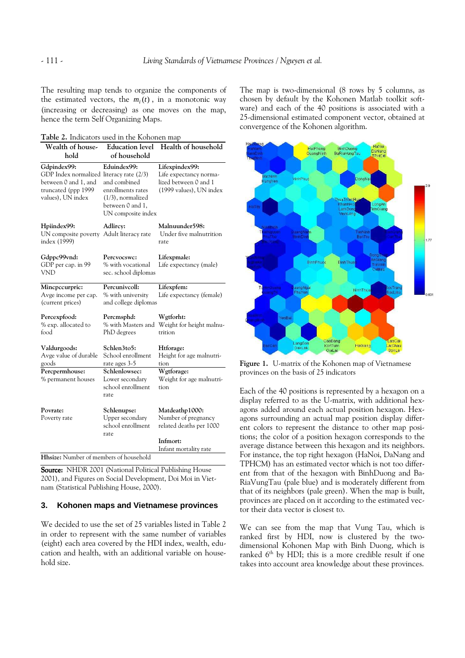The resulting map tends to organize the components of the estimated vectors, the  $m_i(t)$ , in a monotonic way (increasing or decreasing) as one moves on the map, hence the term Self Organizing Maps.

**Table 2.** Indicators used in the Kohonen map

| Wealth of house-<br>hold                                                                                                    | <b>Education</b> level<br>of household                                                                             | Health of household                                                                          |
|-----------------------------------------------------------------------------------------------------------------------------|--------------------------------------------------------------------------------------------------------------------|----------------------------------------------------------------------------------------------|
| Gdpindex99:<br>GDP Index normalized literacy rate (2/3)<br>between 0 and 1, and<br>truncated (ppp 1999<br>values), UN index | Eduindex99:<br>and combined<br>enrollments rates<br>$(1/3)$ , normalized<br>between 0 and 1,<br>UN composite index | Lifexpindex99:<br>Life expectancy norma-<br>lized between 0 and 1<br>(1999 values), UN index |
| Hpiindex99:<br>UN composite poverty Adult literacy rate<br>index (1999)                                                     | Adlircy:                                                                                                           | Malnuunder598:<br>Under five malnutrition<br>rate                                            |
| Gdppc99vnd:<br>GDP per cap. in 99<br><b>VND</b>                                                                             | Percyocswc:<br>% with vocational<br>sec. school diplomas                                                           | Lifexpmale:<br>Life expectancy (male)                                                        |
| Minepecurpric:<br>Avge income per cap.<br>(current prices)                                                                  | Percunivcoll:<br>% with university<br>and college diplomas                                                         | Lifexpfem:<br>Life expectancy (female)                                                       |
| Percexpfood:<br>% exp. allocated to<br>food                                                                                 | Percmsphd:<br>% with Masters and<br>PhD degrees                                                                    | Wgtforht:<br>Weight for height malnu-<br>trition                                             |
| Valdurgoods:<br>Avge value of durable<br>goods                                                                              | Schlen3to5:<br>School enrollment<br>rate ages 3-5                                                                  | Htforage:<br>Height for age malnutri-<br>tion                                                |
| Percpermhouse:<br>% permanent houses                                                                                        | Schlenlowsec:<br>Lower secondary<br>school enrollment<br>rate                                                      | Wgtforage:<br>Weight for age malnutri-<br>tion                                               |
| Povrate:<br>Poverty rate                                                                                                    | Schlenupse:<br>Upper secondary<br>school enrollment<br>rate                                                        | Matdeathp1000:<br>Number of pregnancy<br>related deaths per 1000                             |
| Hhsize: Number of members of household                                                                                      |                                                                                                                    | Infmort:<br>Infant mortality rate                                                            |

Source: NHDR 2001 (National Political Publishing House 2001), and Figures on Social Development, Doi Moi in Vietnam (Statistical Publishing House, 2000).

# **3. Kohonen maps and Vietnamese provinces**

We decided to use the set of 25 variables listed in Table 2 in order to represent with the same number of variables (eight) each area covered by the HDI index, wealth, education and health, with an additional variable on household size.

The map is two-dimensional (8 rows by 5 columns, as chosen by default by the Kohonen Matlab toolkit software) and each of the 40 positions is associated with a 25-dimensional estimated component vector, obtained at convergence of the Kohonen algorithm.



**Figure 1.** U-matrix of the Kohonen map of Vietnamese provinces on the basis of 25 indicators

Each of the 40 positions is represented by a hexagon on a display referred to as the U-matrix, with additional hexagons added around each actual position hexagon. Hexagons surrounding an actual map position display different colors to represent the distance to other map positions; the color of a position hexagon corresponds to the average distance between this hexagon and its neighbors. For instance, the top right hexagon (HaNoi, DaNang and TPHCM) has an estimated vector which is not too different from that of the hexagon with BinhDuong and Ba-RiaVungTau (pale blue) and is moderately different from that of its neighbors (pale green). When the map is built, provinces are placed on it according to the estimated vector their data vector is closest to.

We can see from the map that Vung Tau, which is ranked first by HDI, now is clustered by the twodimensional Kohonen Map with Binh Duong, which is ranked  $6<sup>th</sup>$  by HDI; this is a more credible result if one takes into account area knowledge about these provinces.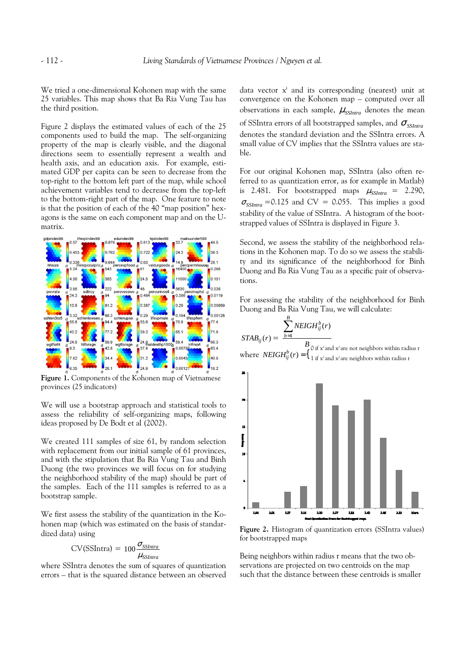We tried a one-dimensional Kohonen map with the same 25 variables. This map shows that Ba Ria Vung Tau has the third position.

Figure 2 displays the estimated values of each of the 25 components used to build the map. The self-organizing property of the map is clearly visible, and the diagonal directions seem to essentially represent a wealth and health axis, and an education axis. For example, estimated GDP per capita can be seen to decrease from the top-right to the bottom left part of the map, while school achievement variables tend to decrease from the top-left to the bottom-right part of the map. One feature to note is that the position of each of the 40 "map position" hexagons is the same on each component map and on the Umatrix.



**Figure 1.**Components of the Kohonen map of Vietnamese provinces (25 indicators)

We will use a bootstrap approach and statistical tools to assess the reliability of self-organizing maps, following ideas proposed by De Bodt et al (2002).

We created 111 samples of size 61, by random selection with replacement from our initial sample of 61 provinces, and with the stipulation that Ba Ria Vung Tau and Binh Duong (the two provinces we will focus on for studying the neighborhood stability of the map) should be part of the samples. Each of the 111 samples is referred to as a bootstrap sample.

We first assess the stability of the quantization in the Kohonen map (which was estimated on the basis of standardized data) using

$$
CV(SSIntra) = 100 \frac{\sigma_{SSIntra}}{\mu_{SSIntra}}
$$

where SSIntra denotes the sum of squares of quantization errors – that is the squared distance between an observed

data vector x<sup>i</sup> and its corresponding (nearest) unit at convergence on the Kohonen map – computed over all observations in each sample,  $\mu_{\textit{SSIntra}}$  denotes the mean of SSIntra errors of all bootstrapped samples, and <sup>σ</sup> *SSIntra* denotes the standard deviation and the SSIntra errors. A small value of CV implies that the SSIntra values are stable.

For our original Kohonen map, SSIntra (also often referred to as quantization error, as for example in Matlab) is 2.481. For bootstrapped maps  $\mu_{SSIntra} = 2.290$ ,  $\sigma_{SSIntra}$  =0.125 and CV = 0.055. This implies a good stability of the value of SSIntra. A histogram of the bootstrapped values of SSIntra is displayed in Figure 3.

Second, we assess the stability of the neighborhood relations in the Kohonen map. To do so we assess the stability and its significance of the neighborhood for Binh Duong and Ba Ria Vung Tau as a specific pair of observations.

For assessing the stability of the neighborhood for Binh Duong and Ba Ria Vung Tau, we will calculate:

$$
STAB_{ij}(r) = \frac{\sum_{b=1}^{B} NEIGH_{ij}^{b}(r)}{B}
$$
  
where  $NEIGH_{ij}^{b}(r) = \left\{ \begin{matrix} 0 \text{ if } x' \text{ and } x' \text{ are not neighbors within radius } r \\ 1 \text{ if } x' \text{ and } x' \text{ are neighbors within radius } r \end{matrix} \right.$ 



**Figure 2.** Histogram of quantization errors (SSIntra values) for bootstrapped maps

Being neighbors within radius r means that the two observations are projected on two centroids on the map such that the distance between these centroids is smaller